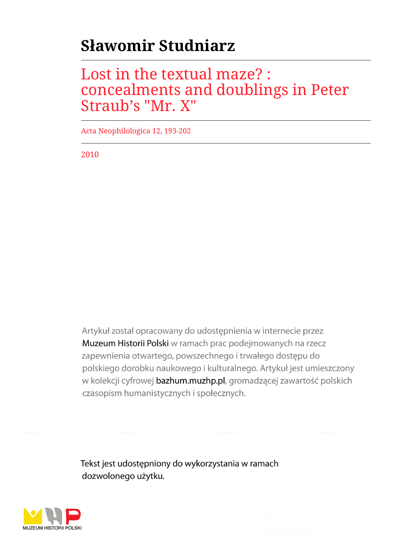## **Sławomir Studniarz**

## Lost in the textual maze? : concealments and doublings in Peter Straub's "Mr. X"

Acta Neophilologica 12, 193-202

2010

Artykuł został opracowany do udostępnienia w internecie przez Muzeum Historii Polski w ramach prac podejmowanych na rzecz zapewnienia otwartego, powszechnego i trwałego dostępu do polskiego dorobku naukowego i kulturalnego. Artykuł jest umieszczony w kolekcji cyfrowej bazhum.muzhp.pl, gromadzącej zawartość polskich czasopism humanistycznych i społecznych.

Tekst jest udostępniony do wykorzystania w ramach dozwolonego użytku.

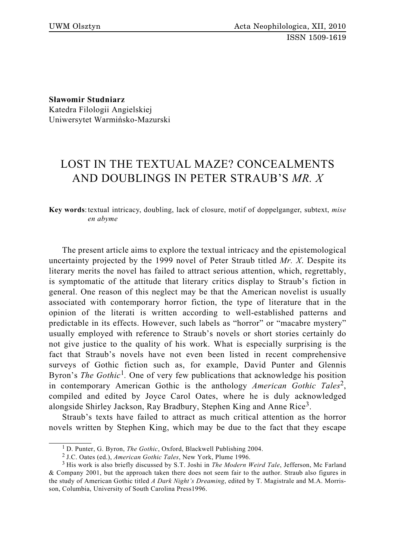**Sławomir Studniarz** Katedra Filologii Angielskiej Uniwersytet Warmińsko-Mazurski

## LOST IN THE TEXTUAL MAZE? CONCEALMENTS AND DOUBLINGS IN PETER STRAUB'S *MR. X*

**Key words**: textual intricacy, doubling, lack of closure, motif of doppelganger, subtext, *mise en abyme*

The present article aims to explore the textual intricacy and the epistemological uncertainty projected by the 1999 novel of Peter Straub titled *Mr. X*. Despite its literary merits the novel has failed to attract serious attention, which, regrettably, is symptomatic of the attitude that literary critics display to Straub's fiction in general. One reason of this neglect may be that the American novelist is usually associated with contemporary horror fiction, the type of literature that in the opinion of the literati is written according to well-established patterns and predictable in its effects. However, such labels as "horror" or "macabre mystery" usually employed with reference to Straub's novels or short stories certainly do not give justice to the quality of his work. What is especially surprising is the fact that Straub's novels have not even been listed in recent comprehensive surveys of Gothic fiction such as, for example, David Punter and Glennis Byron's *The Gothic*1*.* One of very few publications that acknowledge his position in contemporary American Gothic is the anthology *American Gothic Tales*2, compiled and edited by Joyce Carol Oates, where he is duly acknowledged alongside Shirley Jackson, Ray Bradbury, Stephen King and Anne Rice<sup>3</sup>.

Straub's texts have failed to attract as much critical attention as the horror novels written by Stephen King, which may be due to the fact that they escape

<sup>1</sup> D. Punter, G. Byron, *The Gothic*, Oxford, Blackwell Publishing 2004.

<sup>2</sup> J.C. Oates (ed.), *American Gothic Tales*, New York, Plume 1996.

<sup>3</sup> His work is also briefly discussed by S.T. Joshi in *The Modern Weird Tale*, Jefferson, Mc Farland & Company 2001, but the approach taken there does not seem fair to the author. Straub also figures in the study of American Gothic titled *A Dark Night's Dreaming*, edited by T. Magistrale and M.A. Morrisson, Columbia, University of South Carolina Press1996.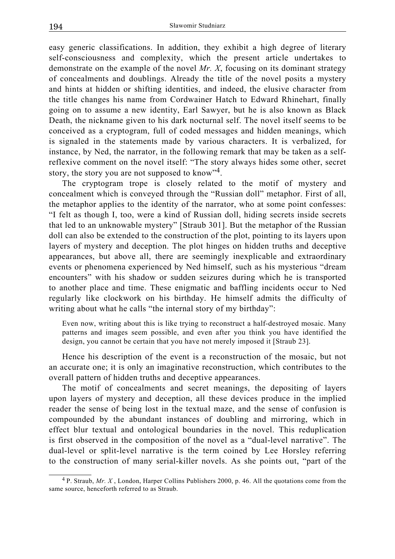easy generic classifications. In addition, they exhibit a high degree of literary self-consciousness and complexity, which the present article undertakes to demonstrate on the example of the novel *Mr. X*, focusing on its dominant strategy of concealments and doublings. Already the title of the novel posits a mystery and hints at hidden or shifting identities, and indeed, the elusive character from the title changes his name from Cordwainer Hatch to Edward Rhinehart, finally going on to assume a new identity, Earl Sawyer, but he is also known as Black Death, the nickname given to his dark nocturnal self. The novel itself seems to be conceived as a cryptogram, full of coded messages and hidden meanings, which is signaled in the statements made by various characters. It is verbalized, for instance, by Ned, the narrator, in the following remark that may be taken as a selfreflexive comment on the novel itself: "The story always hides some other, secret story, the story you are not supposed to know"<sup>4</sup>.

The cryptogram trope is closely related to the motif of mystery and concealment which is conveyed through the "Russian doll" metaphor. First of all, the metaphor applies to the identity of the narrator, who at some point confesses: "I felt as though I, too, were a kind of Russian doll, hiding secrets inside secrets that led to an unknowable mystery" [Straub 301]. But the metaphor of the Russian doll can also be extended to the construction of the plot, pointing to its layers upon layers of mystery and deception. The plot hinges on hidden truths and deceptive appearances, but above all, there are seemingly inexplicable and extraordinary events or phenomena experienced by Ned himself, such as his mysterious "dream encounters" with his shadow or sudden seizures during which he is transported to another place and time. These enigmatic and baffling incidents occur to Ned regularly like clockwork on his birthday. He himself admits the difficulty of writing about what he calls "the internal story of my birthday":

Even now, writing about this is like trying to reconstruct a half-destroyed mosaic. Many patterns and images seem possible, and even after you think you have identified the design, you cannot be certain that you have not merely imposed it [Straub 23].

Hence his description of the event is a reconstruction of the mosaic, but not an accurate one; it is only an imaginative reconstruction, which contributes to the overall pattern of hidden truths and deceptive appearances.

The motif of concealments and secret meanings, the depositing of layers upon layers of mystery and deception, all these devices produce in the implied reader the sense of being lost in the textual maze, and the sense of confusion is compounded by the abundant instances of doubling and mirroring, which in effect blur textual and ontological boundaries in the novel. This reduplication is first observed in the composition of the novel as a "dual-level narrative". The dual-level or split-level narrative is the term coined by Lee Horsley referring to the construction of many serial-killer novels. As she points out, "part of the

<sup>4</sup> P. Straub, *Mr. X* , London, Harper Collins Publishers 2000, p. 46. All the quotations come from the same source, henceforth referred to as Straub.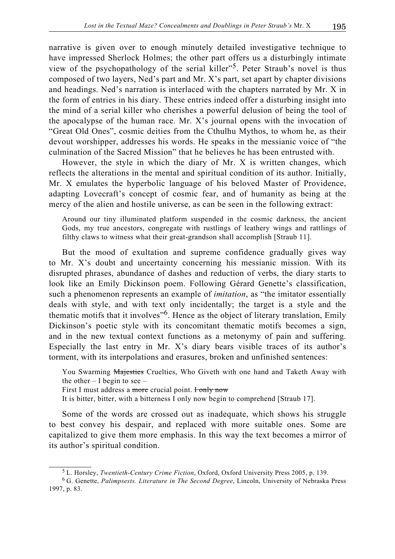narrative is given over to enough minutely detailed investigative technique to have impressed Sherlock Holmes; the other part offers us a disturbingly intimate view of the psychopathology of the serial killer"<sup>5</sup>. Peter Straub's novel is thus composed of two layers, Ned's part and Mr. X's part, set apart by chapter divisions and headings. Ned's narration is interlaced with the chapters narrated by Mr. X in the form of entries in his diary. These entries indeed offer a disturbing insight into the mind of a serial killer who cherishes a powerful delusion of being the tool of the apocalypse of the human race. Mr. X's journal opens with the invocation of "Great Old Ones", cosmic deities from the Cthulhu Mythos, to whom he, as their devout worshipper, addresses his words. He speaks in the messianic voice of "the culmination of the Sacred Mission" that he believes he has been entrusted with.

However, the style in which the diary of Mr. X is written changes, which reflects the alterations in the mental and spiritual condition of its author. Initially, Mr. X emulates the hyperbolic language of his beloved Master of Providence, adapting Lovecraft's concept of cosmic fear, and of humanity as being at the mercy of the alien and hostile universe, as can be seen in the following extract:

Around our tiny illuminated platform suspended in the cosmic darkness, the ancient Gods, my true ancestors, congregate with rustlings of leathery wings and rattlings of filthy claws to witness what their great-grandson shall accomplish [Straub 11].

But the mood of exultation and supreme confidence gradually gives way to Mr. X's doubt and uncertainty concerning his messianic mission. With its disrupted phrases, abundance of dashes and reduction of verbs, the diary starts to look like an Emily Dickinson poem. Following Gérard Genette's classification, such a phenomenon represents an example of *imitation*, as "the imitator essentially deals with style, and with text only incidentally; the target is a style and the thematic motifs that it involves"6. Hence as the object of literary translation, Emily Dickinson's poetic style with its concomitant thematic motifs becomes a sign, and in the new textual context functions as a metonymy of pain and suffering. Especially the last entry in Mr. X's diary bears visible traces of its author's torment, with its interpolations and erasures, broken and unfinished sentences:

You Swarming Majesties Cruelties, Who Giveth with one hand and Taketh Away with the other  $-1$  begin to see  $-$ 

First I must address a more crucial point. Honly now

It is bitter, bitter, with a bitterness I only now begin to comprehend [Straub 17].

Some of the words are crossed out as inadequate, which shows his struggle to best convey his despair, and replaced with more suitable ones. Some are capitalized to give them more emphasis. In this way the text becomes a mirror of its author's spiritual condition.

<sup>5</sup> L. Horsley, *Twentieth-Century Crime Fiction*, Oxford, Oxford University Press 2005, p. 139.

<sup>6</sup> G. Genette, *Palimpsests. Literature in The Second Degree*, Lincoln, University of Nebraska Press 1997, p. 83.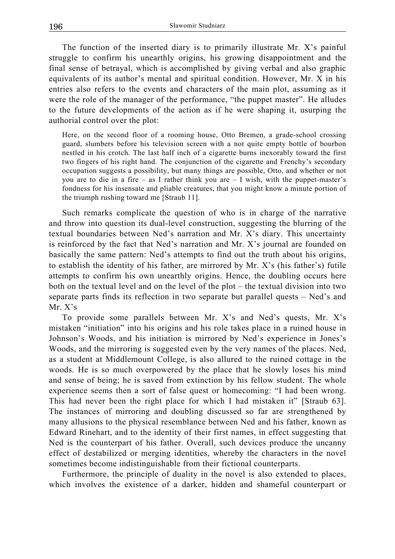The function of the inserted diary is to primarily illustrate Mr. X's painful struggle to confirm his unearthly origins, his growing disappointment and the final sense of betrayal, which is accomplished by giving verbal and also graphic equivalents of its author's mental and spiritual condition. However, Mr. X in his entries also refers to the events and characters of the main plot, assuming as it were the role of the manager of the performance, "the puppet master". He alludes to the future developments of the action as if he were shaping it, usurping the authorial control over the plot:

Here, on the second floor of a rooming house, Otto Bremen, a grade-school crossing guard, slumbers before his television screen with a not quite empty bottle of bourbon nestled in his crotch. The last half inch of a cigarette burns inexorably toward the first two fingers of his right hand. The conjunction of the cigarette and Frenchy's secondary occupation suggests a possibility, but many things are pos sible, Otto, and whether or not you are to die in a fire – as I rather think you are – I wish, with the puppet-master's fondness for his insensate and pliable creatures, that you might know a minute portion of the triumph rushing toward me [Straub 11].

Such remarks complicate the question of who is in charge of the narrative and throw into question its dual-level construction, suggesting the blurring of the textual boundaries between Ned's narration and Mr. X's diary. This uncertainty is reinforced by the fact that Ned's narration and Mr. X's journal are founded on basically the same pattern: Ned's attempts to find out the truth about his origins, to establish the identity of his father, are mirrored by Mr. X's (his father's) futile attempts to confirm his own unearthly origins. Hence, the doubling occurs here both on the textual level and on the level of the plot – the textual division into two separate parts finds its reflection in two separate but parallel quests – Ned's and Mr. X's

To provide some parallels between Mr. X's and Ned's quests, Mr. X's mistaken "initiation" into his origins and his role takes place in a ruined house in Johnson's Woods, and his initiation is mirrored by Ned's experience in Jones's Woods, and the mirroring is suggested even by the very names of the places. Ned, as a student at Middlemount College, is also allured to the ruined cottage in the woods. He is so much overpowered by the place that he slowly loses his mind and sense of being; he is saved from extinction by his fellow student. The whole experience seems then a sort of false quest or homecoming: "I had been wrong. This had never been the right place for which I had mistaken it" [Straub 63]. The instances of mirroring and doubling discussed so far are strengthened by many allusions to the physical resemblance between Ned and his father, known as Edward Rinehart, and to the identity of their first names, in effect suggesting that Ned is the counterpart of his father. Overall, such devices produce the uncanny effect of destabilized or merging identities, whereby the characters in the novel sometimes become indistinguishable from their fictional counterparts.

Furthermore, the principle of duality in the novel is also extended to places, which involves the existence of a darker, hidden and shameful counterpart or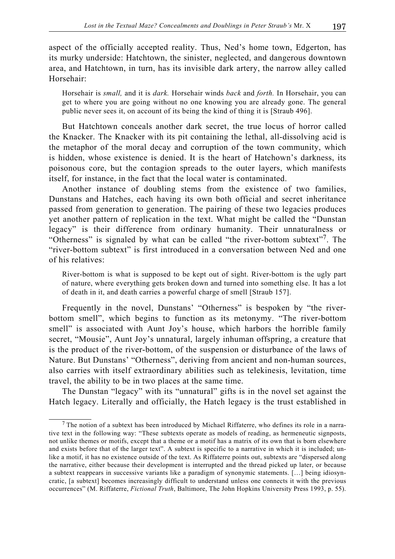aspect of the officially accepted reality. Thus, Ned's home town, Edgerton, has its murky underside: Hatchtown, the sinister, neglected, and dangerous downtown area, and Hatchtown, in turn, has its invisible dark artery, the narrow alley called Horsehair:

Horsehair is *small,* and it is *dark.* Horsehair winds *back* and *forth.* In Horsehair, you can get to where you are going without no one knowing you are already gone. The general public never sees it, on account of its being the kind of thing it is [Straub 496].

But Hatchtown conceals another dark secret, the true locus of horror called the Knacker. The Knacker with its pit containing the lethal, all-dissolving acid is the metaphor of the moral decay and corruption of the town community, which is hidden, whose existence is denied. It is the heart of Hatchown's darkness, its poisonous core, but the contagion spreads to the outer layers, which manifests itself, for instance, in the fact that the local water is contaminated.

Another instance of doubling stems from the existence of two families, Dunstans and Hatches, each having its own both official and secret inheritance passed from generation to generation. The pairing of these two legacies produces yet another pattern of replication in the text. What might be called the "Dunstan legacy" is their difference from ordinary humanity. Their unnaturalness or "Otherness" is signaled by what can be called "the river-bottom subtext"7. The "river-bottom subtext" is first introduced in a conversation between Ned and one of his relatives:

River-bottom is what is supposed to be kept out of sight. River-bottom is the ugly part of nature, where everything gets broken down and turned into something else. It has a lot of death in it, and death carries a powerful charge of smell [Straub 157].

Frequently in the novel, Dunstans' "Otherness" is bespoken by "the riverbottom smell", which begins to function as its metonymy. "The river-bottom smell" is associated with Aunt Joy's house, which harbors the horrible family secret, "Mousie", Aunt Joy's unnatural, largely inhuman offspring, a creature that is the product of the river-bottom, of the suspension or disturbance of the laws of Nature. But Dunstans' "Otherness", deriving from ancient and non-human sources, also carries with itself extraordinary abilities such as telekinesis, levitation, time travel, the ability to be in two places at the same time.

The Dunstan "legacy" with its "unnatural" gifts is in the novel set against the Hatch legacy. Literally and officially, the Hatch legacy is the trust established in

<sup>7</sup> The notion of a subtext has been introduced by Michael Riffaterre, who defines its role in a narrative text in the following way: "These subtexts operate as models of reading, as hermeneutic signposts, not unlike themes or motifs, except that a theme or a motif has a matrix of its own that is born elsewhere and exists before that of the larger text". A subtext is specific to a narrative in which it is included; unlike a motif, it has no existence outside of the text. As Riffaterre points out, subtexts are "dispersed along the narrative, either because their development is interrupted and the thread picked up later, or because a subtext reappears in successive variants like a paradigm of synonymic statements. […] being idiosyncratic, [a subtext] becomes increasingly difficult to understand unless one connects it with the previous occurrences" (M. Riffaterre, *Fictional Truth*, Baltimore, The John Hopkins University Press 1993, p. 55).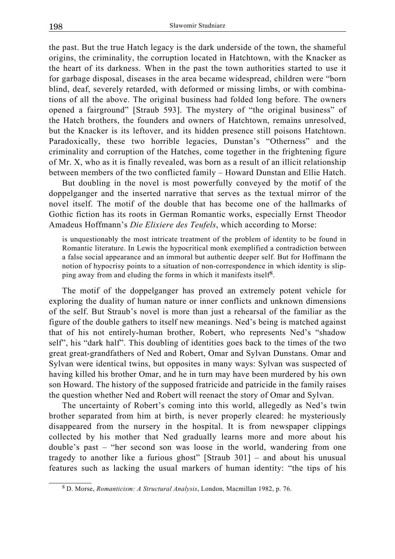the past. But the true Hatch legacy is the dark underside of the town, the shameful origins, the criminality, the corruption located in Hatchtown, with the Knacker as the heart of its darkness. When in the past the town authorities started to use it for garbage disposal, diseases in the area became widespread, children were "born blind, deaf, severely retarded, with deformed or missing limbs, or with combinations of all the above. The original business had folded long before. The owners opened a fairground" [Straub 593]. The mystery of "the original business" of the Hatch brothers, the founders and owners of Hatchtown, remains unresolved, but the Knacker is its leftover, and its hidden presence still poisons Hatchtown. Paradoxically, these two horrible legacies, Dunstan's "Otherness" and the criminality and corruption of the Hatches, come together in the frightening figure of Mr. X, who as it is finally revealed, was born as a result of an illicit relationship between members of the two conflicted family – Howard Dunstan and Ellie Hatch.

But doubling in the novel is most powerfully conveyed by the motif of the doppelganger and the inserted narrative that serves as the textual mirror of the novel itself. The motif of the double that has become one of the hallmarks of Gothic fiction has its roots in German Romantic works, especially Ernst Theodor Amadeus Hoffmann's *Die Elixiere des Teufels*, which according to Morse:

is unquestionably the most intricate treatment of the problem of identity to be found in Romantic literature. In Lewis the hypocritical monk exemplified a contradiction between a false social appearance and an immoral but authentic deeper self. But for Hoffmann the notion of hypocrisy points to a situation of non-correspondence in which identity is slipping away from and eluding the forms in which it manifests itself8.

The motif of the doppelganger has proved an extremely potent vehicle for exploring the duality of human nature or inner conflicts and unknown dimensions of the self. But Straub's novel is more than just a rehearsal of the familiar as the figure of the double gathers to itself new meanings. Ned's being is matched against that of his not entirely-human brother, Robert, who represents Ned's "shadow self", his "dark half". This doubling of identities goes back to the times of the two great great-grandfathers of Ned and Robert, Omar and Sylvan Dunstans. Omar and Sylvan were identical twins, but opposites in many ways: Sylvan was suspected of having killed his brother Omar, and he in turn may have been murdered by his own son Howard. The history of the supposed fratricide and patricide in the family raises the question whether Ned and Robert will reenact the story of Omar and Sylvan.

The uncertainty of Robert's coming into this world, allegedly as Ned's twin brother separated from him at birth, is never properly cleared: he mysteriously disappeared from the nursery in the hospital. It is from newspaper clippings collected by his mother that Ned gradually learns more and more about his double's past – "her second son was loose in the world, wandering from one tragedy to another like a furious ghost" [Straub 301] – and about his unusual features such as lacking the usual markers of human identity: "the tips of his

<sup>8</sup> D. Morse, *Romanticism: A Structural Analysis*, London, Macmillan 1982, p. 76.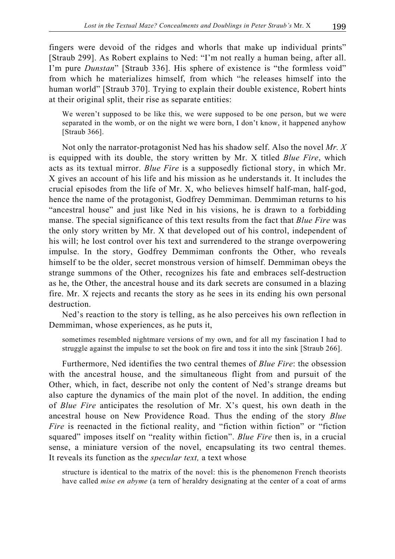fingers were devoid of the ridges and whorls that make up individual prints" [Straub 299]. As Robert explains to Ned: "I'm not really a human being, after all. I'm pure *Dunstan*" [Straub 336]. His sphere of existence is "the formless void" from which he materializes himself, from which "he releases himself into the human world" [Straub 370]. Trying to explain their double existence, Robert hints at their original split, their rise as separate entities:

We weren't supposed to be like this, we were supposed to be one person, but we were separated in the womb, or on the night we were born, I don't know, it happened anyhow [Straub 366].

Not only the narrator-protagonist Ned has his shadow self. Also the novel *Mr. X*  is equipped with its double, the story written by Mr. X titled *Blue Fire*, which acts as its textual mirror. *Blue Fire* is a supposedly fictional story, in which Mr. X gives an account of his life and his mission as he understands it. It includes the crucial episodes from the life of Mr. X, who believes himself half-man, half-god, hence the name of the protagonist, Godfrey Demmiman. Demmiman returns to his "ancestral house" and just like Ned in his visions, he is drawn to a forbidding manse. The special significance of this text results from the fact that *Blue Fire* was the only story written by Mr. X that developed out of his control, independent of his will; he lost control over his text and surrendered to the strange overpowering impulse. In the story, Godfrey Demmiman confronts the Other, who reveals himself to be the older, secret monstrous version of himself. Demmiman obeys the strange summons of the Other, recognizes his fate and embraces self-destruction as he, the Other, the ancestral house and its dark secrets are consumed in a blazing fire. Mr. X rejects and recants the story as he sees in its ending his own personal destruction.

Ned's reaction to the story is telling, as he also perceives his own reflection in Demmiman, whose experiences, as he puts it,

sometimes resembled nightmare versions of my own, and for all my fascination I had to struggle against the impulse to set the book on fire and toss it into the sink [Straub 266].

Furthermore, Ned identifies the two central themes of *Blue Fire*: the obsession with the ancestral house, and the simultaneous flight from and pursuit of the Other, which, in fact, describe not only the content of Ned's strange dreams but also capture the dynamics of the main plot of the novel. In addition, the ending of *Blue Fire* anticipates the resolution of Mr. X's quest, his own death in the ancestral house on New Providence Road. Thus the ending of the story *Blue Fire* is reenacted in the fictional reality, and "fiction within fiction" or "fiction" squared" imposes itself on "reality within fiction". *Blue Fire* then is, in a crucial sense, a miniature version of the novel, encapsulating its two central themes. It reveals its function as the *specular text,* a text whose

structure is identical to the matrix of the novel: this is the phenomenon French theorists have called *mise en abyme* (a tern of heraldry designating at the center of a coat of arms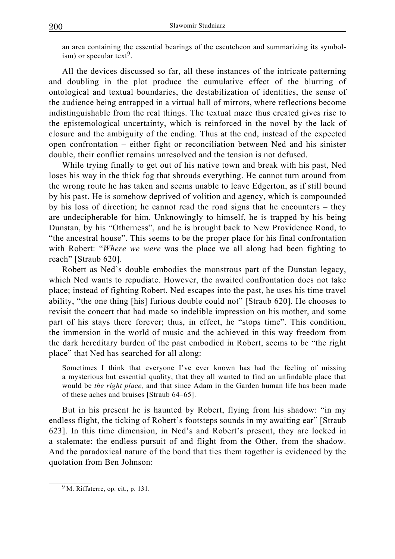an area containing the essential bearings of the escutcheon and summarizing its symbolism) or specular text<sup>9</sup>.

All the devices discussed so far, all these instances of the intricate patterning and doubling in the plot produce the cumulative effect of the blurring of ontological and textual boundaries, the destabilization of identities, the sense of the audience being entrapped in a virtual hall of mirrors, where reflections become indistinguishable from the real things. The textual maze thus created gives rise to the epistemological uncertainty, which is reinforced in the novel by the lack of closure and the ambiguity of the ending. Thus at the end, instead of the expected open confrontation – either fight or reconciliation between Ned and his sinister double, their conflict remains unresolved and the tension is not defused.

While trying finally to get out of his native town and break with his past, Ned loses his way in the thick fog that shrouds everything. He cannot turn around from the wrong route he has taken and seems unable to leave Edgerton, as if still bound by his past. He is somehow deprived of volition and agency, which is compounded by his loss of direction; he cannot read the road signs that he encounters – they are undecipherable for him. Unknowingly to himself, he is trapped by his being Dunstan, by his "Otherness", and he is brought back to New Providence Road, to "the ancestral house". This seems to be the proper place for his final confrontation with Robert: "*Where we were* was the place we all along had been fighting to reach" [Straub 620].

Robert as Ned's double embodies the monstrous part of the Dunstan legacy, which Ned wants to repudiate. However, the awaited confrontation does not take place; instead of fighting Robert, Ned escapes into the past, he uses his time travel ability, "the one thing [his] furious double could not" [Straub 620]. He chooses to revisit the concert that had made so indelible impression on his mother, and some part of his stays there forever; thus, in effect, he "stops time". This condition, the immersion in the world of music and the achieved in this way freedom from the dark hereditary burden of the past embodied in Robert, seems to be "the right place" that Ned has searched for all along:

Sometimes I think that everyone I've ever known has had the feeling of missing a mysterious but essential quality, that they all wanted to find an unfindable place that would be *the right place,* and that since Adam in the Garden human life has been made of these aches and bruises [Straub 64–65].

But in his present he is haunted by Robert, flying from his shadow: "in my endless flight, the ticking of Robert's footsteps sounds in my awaiting ear" [Straub 623]. In this time dimension, in Ned's and Robert's present, they are locked in a stalemate: the endless pursuit of and flight from the Other, from the shadow. And the paradoxical nature of the bond that ties them together is evidenced by the quotation from Ben Johnson:

<sup>9</sup> M. Riffaterre, op. cit., p. 131.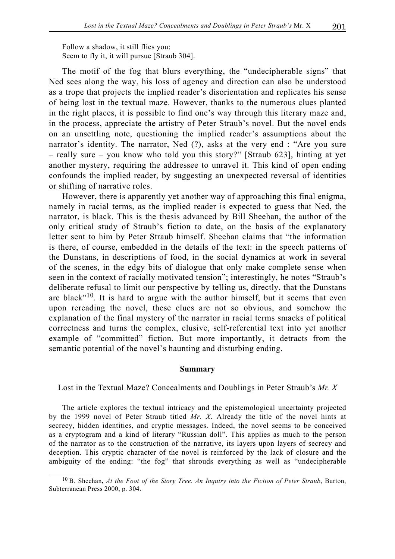Follow a shadow, it still flies you; Seem to fly it, it will pursue [Straub 304].

The motif of the fog that blurs everything, the "undecipherable signs" that Ned sees along the way, his loss of agency and direction can also be understood as a trope that projects the implied reader's disorientation and replicates his sense of being lost in the textual maze. However, thanks to the numerous clues planted in the right places, it is possible to find one's way through this literary maze and, in the process, appreciate the artistry of Peter Straub's novel. But the novel ends on an unsettling note, questioning the implied reader's assumptions about the narrator's identity. The narrator, Ned (?), asks at the very end : "Are you sure – really sure – you know who told you this story?" [Straub 623], hinting at yet another mystery, requiring the addressee to unravel it. This kind of open ending confounds the implied reader, by suggesting an unexpected reversal of identities or shifting of narrative roles.

However, there is apparently yet another way of approaching this final enigma, namely in racial terms, as the implied reader is expected to guess that Ned, the narrator, is black. This is the thesis advanced by Bill Sheehan, the author of the only critical study of Straub's fiction to date, on the basis of the explanatory letter sent to him by Peter Straub himself. Sheehan claims that "the information is there, of course, embedded in the details of the text: in the speech patterns of the Dunstans, in descriptions of food, in the social dynamics at work in several of the scenes, in the edgy bits of dialogue that only make complete sense when seen in the context of racially motivated tension"; interestingly, he notes "Straub's deliberate refusal to limit our perspective by telling us, directly, that the Dunstans are black"<sup>10</sup>. It is hard to argue with the author himself, but it seems that even upon rereading the novel, these clues are not so obvious, and somehow the explanation of the final mystery of the narrator in racial terms smacks of political correctness and turns the complex, elusive, self-referential text into yet another example of "committed" fiction. But more importantly, it detracts from the semantic potential of the novel's haunting and disturbing ending.

## **Summary**

Lost in the Textual Maze? Concealments and Doublings in Peter Straub's *Mr. X*

The article explores the textual intricacy and the epistemological uncertainty projected by the 1999 novel of Peter Straub titled *Mr. X*. Already the title of the novel hints at secrecy, hidden identities, and cryptic messages. Indeed, the novel seems to be conceived as a cryptogram and a kind of literary "Russian doll". This applies as much to the person of the narrator as to the construction of the narrative, its layers upon layers of secrecy and deception. This cryptic character of the novel is reinforced by the lack of closure and the ambiguity of the ending: "the fog" that shrouds everything as well as "undecipherable

<sup>10</sup> B. Sheehan**,** *At the Foot of the Story Tree. An Inquiry into the Fiction of Peter Straub*, Burton, Subterranean Press 2000, p. 304.